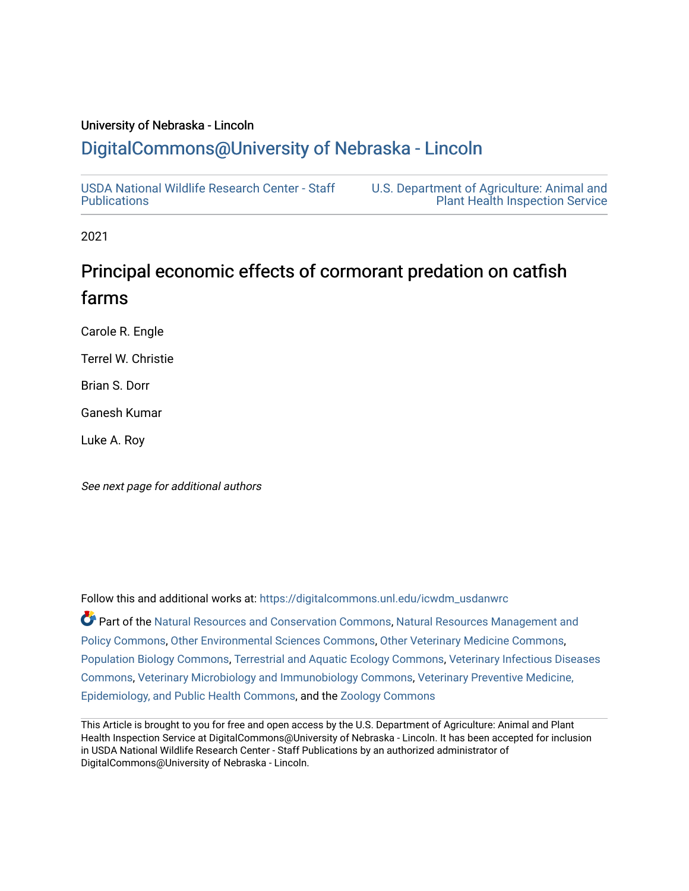# University of Nebraska - Lincoln

# [DigitalCommons@University of Nebraska - Lincoln](https://digitalcommons.unl.edu/)

[USDA National Wildlife Research Center - Staff](https://digitalcommons.unl.edu/icwdm_usdanwrc)  [Publications](https://digitalcommons.unl.edu/icwdm_usdanwrc) 

[U.S. Department of Agriculture: Animal and](https://digitalcommons.unl.edu/usdaaphis)  [Plant Health Inspection Service](https://digitalcommons.unl.edu/usdaaphis) 

2021

# Principal economic effects of cormorant predation on catfish farms

Carole R. Engle

Terrel W. Christie

Brian S. Dorr

Ganesh Kumar

Luke A. Roy

See next page for additional authors

Follow this and additional works at: [https://digitalcommons.unl.edu/icwdm\\_usdanwrc](https://digitalcommons.unl.edu/icwdm_usdanwrc?utm_source=digitalcommons.unl.edu%2Ficwdm_usdanwrc%2F2407&utm_medium=PDF&utm_campaign=PDFCoverPages)

Part of the [Natural Resources and Conservation Commons,](http://network.bepress.com/hgg/discipline/168?utm_source=digitalcommons.unl.edu%2Ficwdm_usdanwrc%2F2407&utm_medium=PDF&utm_campaign=PDFCoverPages) [Natural Resources Management and](http://network.bepress.com/hgg/discipline/170?utm_source=digitalcommons.unl.edu%2Ficwdm_usdanwrc%2F2407&utm_medium=PDF&utm_campaign=PDFCoverPages) [Policy Commons](http://network.bepress.com/hgg/discipline/170?utm_source=digitalcommons.unl.edu%2Ficwdm_usdanwrc%2F2407&utm_medium=PDF&utm_campaign=PDFCoverPages), [Other Environmental Sciences Commons](http://network.bepress.com/hgg/discipline/173?utm_source=digitalcommons.unl.edu%2Ficwdm_usdanwrc%2F2407&utm_medium=PDF&utm_campaign=PDFCoverPages), [Other Veterinary Medicine Commons](http://network.bepress.com/hgg/discipline/771?utm_source=digitalcommons.unl.edu%2Ficwdm_usdanwrc%2F2407&utm_medium=PDF&utm_campaign=PDFCoverPages), [Population Biology Commons,](http://network.bepress.com/hgg/discipline/19?utm_source=digitalcommons.unl.edu%2Ficwdm_usdanwrc%2F2407&utm_medium=PDF&utm_campaign=PDFCoverPages) [Terrestrial and Aquatic Ecology Commons,](http://network.bepress.com/hgg/discipline/20?utm_source=digitalcommons.unl.edu%2Ficwdm_usdanwrc%2F2407&utm_medium=PDF&utm_campaign=PDFCoverPages) [Veterinary Infectious Diseases](http://network.bepress.com/hgg/discipline/770?utm_source=digitalcommons.unl.edu%2Ficwdm_usdanwrc%2F2407&utm_medium=PDF&utm_campaign=PDFCoverPages)  [Commons](http://network.bepress.com/hgg/discipline/770?utm_source=digitalcommons.unl.edu%2Ficwdm_usdanwrc%2F2407&utm_medium=PDF&utm_campaign=PDFCoverPages), [Veterinary Microbiology and Immunobiology Commons,](http://network.bepress.com/hgg/discipline/763?utm_source=digitalcommons.unl.edu%2Ficwdm_usdanwrc%2F2407&utm_medium=PDF&utm_campaign=PDFCoverPages) [Veterinary Preventive Medicine,](http://network.bepress.com/hgg/discipline/769?utm_source=digitalcommons.unl.edu%2Ficwdm_usdanwrc%2F2407&utm_medium=PDF&utm_campaign=PDFCoverPages)  [Epidemiology, and Public Health Commons,](http://network.bepress.com/hgg/discipline/769?utm_source=digitalcommons.unl.edu%2Ficwdm_usdanwrc%2F2407&utm_medium=PDF&utm_campaign=PDFCoverPages) and the [Zoology Commons](http://network.bepress.com/hgg/discipline/81?utm_source=digitalcommons.unl.edu%2Ficwdm_usdanwrc%2F2407&utm_medium=PDF&utm_campaign=PDFCoverPages)

This Article is brought to you for free and open access by the U.S. Department of Agriculture: Animal and Plant Health Inspection Service at DigitalCommons@University of Nebraska - Lincoln. It has been accepted for inclusion in USDA National Wildlife Research Center - Staff Publications by an authorized administrator of DigitalCommons@University of Nebraska - Lincoln.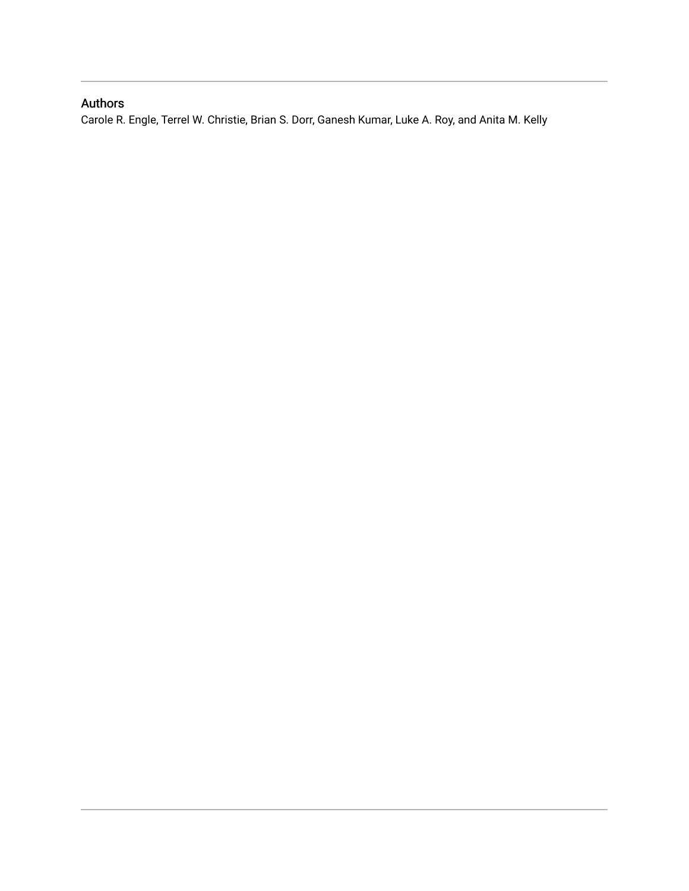# Authors

Carole R. Engle, Terrel W. Christie, Brian S. Dorr, Ganesh Kumar, Luke A. Roy, and Anita M. Kelly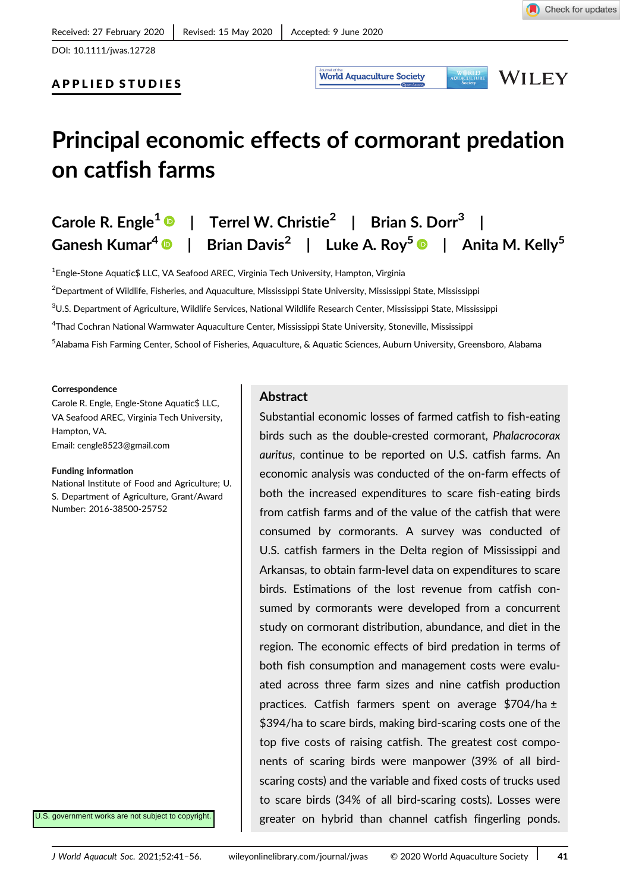APPLIED STUDIES

**World Aquaculture Society** 

**WILEY** 

**WERLD**<br>AQUACULTURE

# Principal economic effects of cormorant predation on catfish farms

# Carole R. Engle<sup>1</sup> | Terrel W. Christie<sup>2</sup> | Brian S. Dorr<sup>3</sup> Ganesh Kumar<sup>4</sup> | Brian Davis<sup>2</sup> | Luke A. Roy<sup>5</sup> | Anita M. Kelly<sup>5</sup>

 $^{\rm 1}$ Engle-Stone Aquatic\$ LLC, VA Seafood AREC, Virginia Tech University, Hampton, Virginia

2 Department of Wildlife, Fisheries, and Aquaculture, Mississippi State University, Mississippi State, Mississippi

 $^3$ U.S. Department of Agriculture, Wildlife Services, National Wildlife Research Center, Mississippi State, Mississippi

4 Thad Cochran National Warmwater Aquaculture Center, Mississippi State University, Stoneville, Mississippi

5 Alabama Fish Farming Center, School of Fisheries, Aquaculture, & Aquatic Sciences, Auburn University, Greensboro, Alabama

#### **Correspondence**

Carole R. Engle, Engle-Stone Aquatic\$ LLC, VA Seafood AREC, Virginia Tech University, Hampton, VA. Email: cengle8523@gmail.com

#### Funding information

National Institute of Food and Agriculture; U. S. Department of Agriculture, Grant/Award Number: 2016-38500-25752

Abstract

Substantial economic losses of farmed catfish to fish-eating birds such as the double-crested cormorant, Phalacrocorax auritus, continue to be reported on U.S. catfish farms. An economic analysis was conducted of the on-farm effects of both the increased expenditures to scare fish-eating birds from catfish farms and of the value of the catfish that were consumed by cormorants. A survey was conducted of U.S. catfish farmers in the Delta region of Mississippi and Arkansas, to obtain farm-level data on expenditures to scare birds. Estimations of the lost revenue from catfish consumed by cormorants were developed from a concurrent study on cormorant distribution, abundance, and diet in the region. The economic effects of bird predation in terms of both fish consumption and management costs were evaluated across three farm sizes and nine catfish production practices. Catfish farmers spent on average \$704/ha ± \$394/ha to scare birds, making bird-scaring costs one of the top five costs of raising catfish. The greatest cost components of scaring birds were manpower (39% of all birdscaring costs) and the variable and fixed costs of trucks used to scare birds (34% of all bird-scaring costs). Losses were greater on hybrid than channel catfish fingerling ponds.

U.S. government works are not subject to copyright.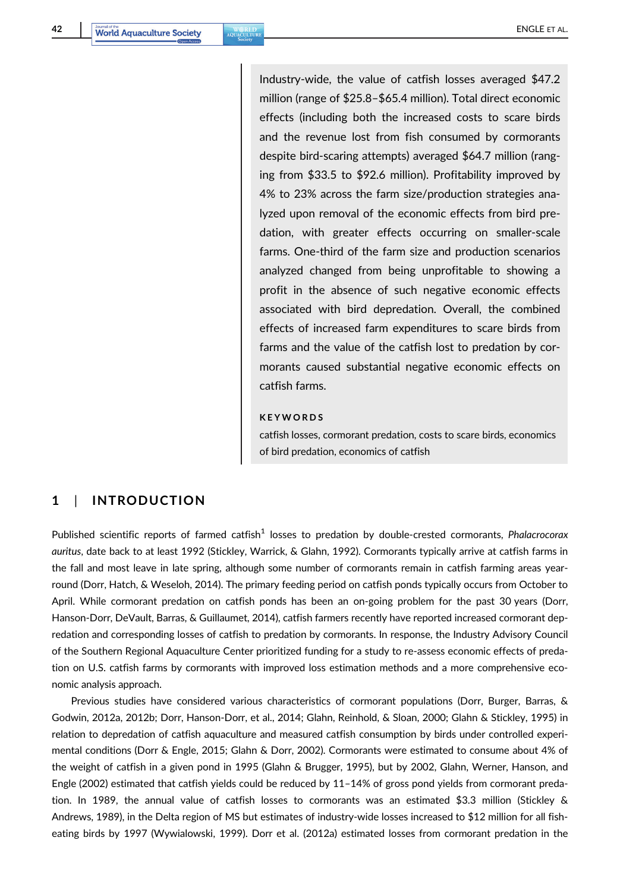Industry-wide, the value of catfish losses averaged \$47.2 million (range of \$25.8–\$65.4 million). Total direct economic effects (including both the increased costs to scare birds and the revenue lost from fish consumed by cormorants despite bird-scaring attempts) averaged \$64.7 million (ranging from \$33.5 to \$92.6 million). Profitability improved by 4% to 23% across the farm size/production strategies analyzed upon removal of the economic effects from bird predation, with greater effects occurring on smaller-scale farms. One-third of the farm size and production scenarios analyzed changed from being unprofitable to showing a profit in the absence of such negative economic effects associated with bird depredation. Overall, the combined effects of increased farm expenditures to scare birds from farms and the value of the catfish lost to predation by cormorants caused substantial negative economic effects on catfish farms.

#### KEYWORDS

catfish losses, cormorant predation, costs to scare birds, economics of bird predation, economics of catfish

# 1 | INTRODUCTION

Published scientific reports of farmed catfish $1$  losses to predation by double-crested cormorants, Phalacrocorax auritus, date back to at least 1992 (Stickley, Warrick, & Glahn, 1992). Cormorants typically arrive at catfish farms in the fall and most leave in late spring, although some number of cormorants remain in catfish farming areas yearround (Dorr, Hatch, & Weseloh, 2014). The primary feeding period on catfish ponds typically occurs from October to April. While cormorant predation on catfish ponds has been an on-going problem for the past 30 years (Dorr, Hanson-Dorr, DeVault, Barras, & Guillaumet, 2014), catfish farmers recently have reported increased cormorant depredation and corresponding losses of catfish to predation by cormorants. In response, the Industry Advisory Council of the Southern Regional Aquaculture Center prioritized funding for a study to re-assess economic effects of predation on U.S. catfish farms by cormorants with improved loss estimation methods and a more comprehensive economic analysis approach.

Previous studies have considered various characteristics of cormorant populations (Dorr, Burger, Barras, & Godwin, 2012a, 2012b; Dorr, Hanson-Dorr, et al., 2014; Glahn, Reinhold, & Sloan, 2000; Glahn & Stickley, 1995) in relation to depredation of catfish aquaculture and measured catfish consumption by birds under controlled experimental conditions (Dorr & Engle, 2015; Glahn & Dorr, 2002). Cormorants were estimated to consume about 4% of the weight of catfish in a given pond in 1995 (Glahn & Brugger, 1995), but by 2002, Glahn, Werner, Hanson, and Engle (2002) estimated that catfish yields could be reduced by 11–14% of gross pond yields from cormorant predation. In 1989, the annual value of catfish losses to cormorants was an estimated \$3.3 million (Stickley & Andrews, 1989), in the Delta region of MS but estimates of industry-wide losses increased to \$12 million for all fisheating birds by 1997 (Wywialowski, 1999). Dorr et al. (2012a) estimated losses from cormorant predation in the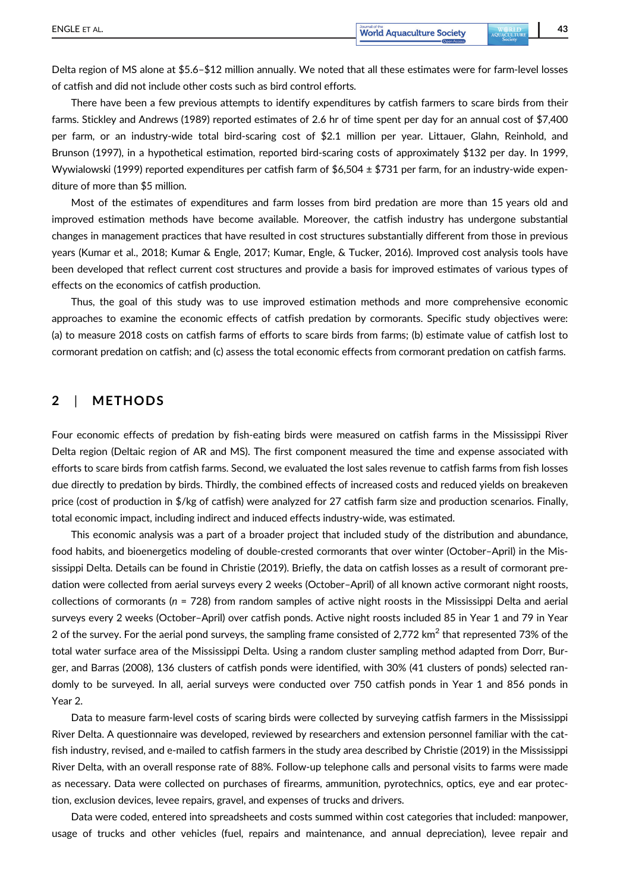Delta region of MS alone at \$5.6–\$12 million annually. We noted that all these estimates were for farm-level losses of catfish and did not include other costs such as bird control efforts.

There have been a few previous attempts to identify expenditures by catfish farmers to scare birds from their farms. Stickley and Andrews (1989) reported estimates of 2.6 hr of time spent per day for an annual cost of \$7,400 per farm, or an industry-wide total bird-scaring cost of \$2.1 million per year. Littauer, Glahn, Reinhold, and Brunson (1997), in a hypothetical estimation, reported bird-scaring costs of approximately \$132 per day. In 1999, Wywialowski (1999) reported expenditures per catfish farm of  $$6,504 \pm $731$  per farm, for an industry-wide expenditure of more than \$5 million.

Most of the estimates of expenditures and farm losses from bird predation are more than 15 years old and improved estimation methods have become available. Moreover, the catfish industry has undergone substantial changes in management practices that have resulted in cost structures substantially different from those in previous years (Kumar et al., 2018; Kumar & Engle, 2017; Kumar, Engle, & Tucker, 2016). Improved cost analysis tools have been developed that reflect current cost structures and provide a basis for improved estimates of various types of effects on the economics of catfish production.

Thus, the goal of this study was to use improved estimation methods and more comprehensive economic approaches to examine the economic effects of catfish predation by cormorants. Specific study objectives were: (a) to measure 2018 costs on catfish farms of efforts to scare birds from farms; (b) estimate value of catfish lost to cormorant predation on catfish; and (c) assess the total economic effects from cormorant predation on catfish farms.

### 2 | METHODS

Four economic effects of predation by fish-eating birds were measured on catfish farms in the Mississippi River Delta region (Deltaic region of AR and MS). The first component measured the time and expense associated with efforts to scare birds from catfish farms. Second, we evaluated the lost sales revenue to catfish farms from fish losses due directly to predation by birds. Thirdly, the combined effects of increased costs and reduced yields on breakeven price (cost of production in \$/kg of catfish) were analyzed for 27 catfish farm size and production scenarios. Finally, total economic impact, including indirect and induced effects industry-wide, was estimated.

This economic analysis was a part of a broader project that included study of the distribution and abundance, food habits, and bioenergetics modeling of double-crested cormorants that over winter (October–April) in the Mississippi Delta. Details can be found in Christie (2019). Briefly, the data on catfish losses as a result of cormorant predation were collected from aerial surveys every 2 weeks (October–April) of all known active cormorant night roosts, collections of cormorants ( $n = 728$ ) from random samples of active night roosts in the Mississippi Delta and aerial surveys every 2 weeks (October–April) over catfish ponds. Active night roosts included 85 in Year 1 and 79 in Year 2 of the survey. For the aerial pond surveys, the sampling frame consisted of 2,772 km<sup>2</sup> that represented 73% of the total water surface area of the Mississippi Delta. Using a random cluster sampling method adapted from Dorr, Burger, and Barras (2008), 136 clusters of catfish ponds were identified, with 30% (41 clusters of ponds) selected randomly to be surveyed. In all, aerial surveys were conducted over 750 catfish ponds in Year 1 and 856 ponds in Year 2.

Data to measure farm-level costs of scaring birds were collected by surveying catfish farmers in the Mississippi River Delta. A questionnaire was developed, reviewed by researchers and extension personnel familiar with the catfish industry, revised, and e-mailed to catfish farmers in the study area described by Christie (2019) in the Mississippi River Delta, with an overall response rate of 88%. Follow-up telephone calls and personal visits to farms were made as necessary. Data were collected on purchases of firearms, ammunition, pyrotechnics, optics, eye and ear protection, exclusion devices, levee repairs, gravel, and expenses of trucks and drivers.

Data were coded, entered into spreadsheets and costs summed within cost categories that included: manpower, usage of trucks and other vehicles (fuel, repairs and maintenance, and annual depreciation), levee repair and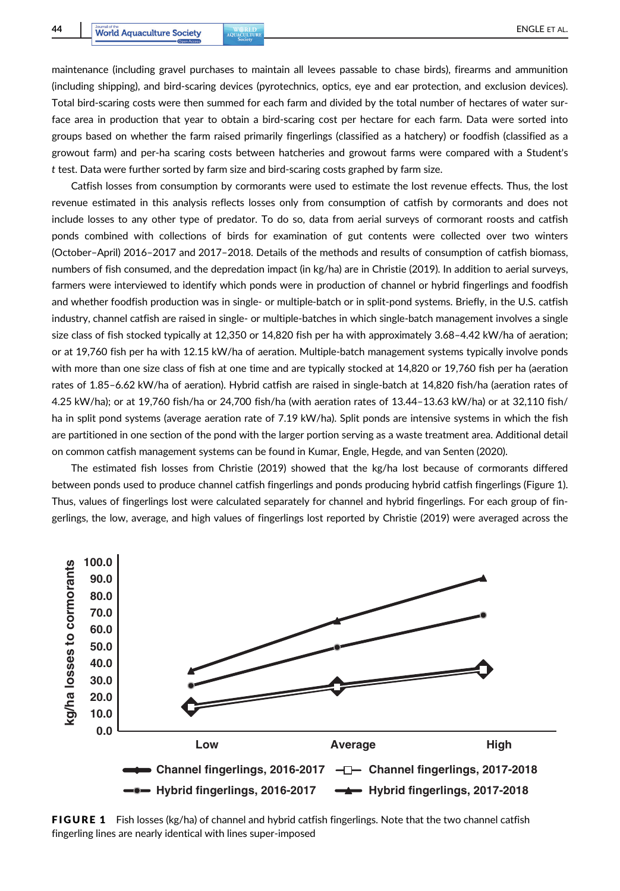maintenance (including gravel purchases to maintain all levees passable to chase birds), firearms and ammunition (including shipping), and bird-scaring devices (pyrotechnics, optics, eye and ear protection, and exclusion devices). Total bird-scaring costs were then summed for each farm and divided by the total number of hectares of water surface area in production that year to obtain a bird-scaring cost per hectare for each farm. Data were sorted into groups based on whether the farm raised primarily fingerlings (classified as a hatchery) or foodfish (classified as a growout farm) and per-ha scaring costs between hatcheries and growout farms were compared with a Student's t test. Data were further sorted by farm size and bird-scaring costs graphed by farm size.

Catfish losses from consumption by cormorants were used to estimate the lost revenue effects. Thus, the lost revenue estimated in this analysis reflects losses only from consumption of catfish by cormorants and does not include losses to any other type of predator. To do so, data from aerial surveys of cormorant roosts and catfish ponds combined with collections of birds for examination of gut contents were collected over two winters (October–April) 2016–2017 and 2017–2018. Details of the methods and results of consumption of catfish biomass, numbers of fish consumed, and the depredation impact (in kg/ha) are in Christie (2019). In addition to aerial surveys, farmers were interviewed to identify which ponds were in production of channel or hybrid fingerlings and foodfish and whether foodfish production was in single- or multiple-batch or in split-pond systems. Briefly, in the U.S. catfish industry, channel catfish are raised in single- or multiple-batches in which single-batch management involves a single size class of fish stocked typically at 12,350 or 14,820 fish per ha with approximately 3.68–4.42 kW/ha of aeration; or at 19,760 fish per ha with 12.15 kW/ha of aeration. Multiple-batch management systems typically involve ponds with more than one size class of fish at one time and are typically stocked at 14,820 or 19,760 fish per ha (aeration rates of 1.85–6.62 kW/ha of aeration). Hybrid catfish are raised in single-batch at 14,820 fish/ha (aeration rates of 4.25 kW/ha); or at 19,760 fish/ha or 24,700 fish/ha (with aeration rates of 13.44–13.63 kW/ha) or at 32,110 fish/ ha in split pond systems (average aeration rate of 7.19 kW/ha). Split ponds are intensive systems in which the fish are partitioned in one section of the pond with the larger portion serving as a waste treatment area. Additional detail on common catfish management systems can be found in Kumar, Engle, Hegde, and van Senten (2020).

The estimated fish losses from Christie (2019) showed that the kg/ha lost because of cormorants differed between ponds used to produce channel catfish fingerlings and ponds producing hybrid catfish fingerlings (Figure 1). Thus, values of fingerlings lost were calculated separately for channel and hybrid fingerlings. For each group of fingerlings, the low, average, and high values of fingerlings lost reported by Christie (2019) were averaged across the



**FIGURE 1** Fish losses (kg/ha) of channel and hybrid catfish fingerlings. Note that the two channel catfish fingerling lines are nearly identical with lines super-imposed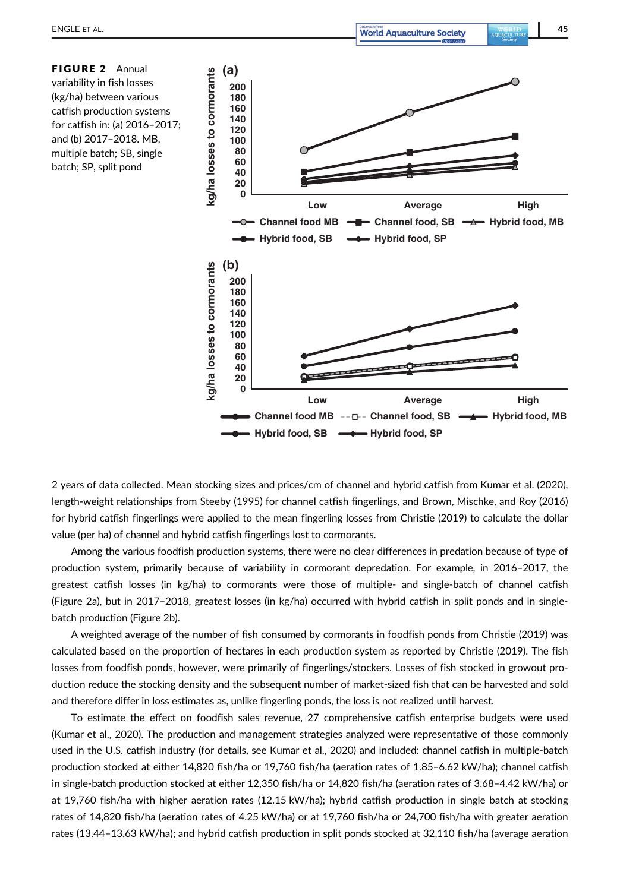FIGURE 2 Annual variability in fish losses (kg/ha) between various catfish production systems for catfish in: (a) 2016–2017; and (b) 2017–2018. MB, multiple batch; SB, single batch; SP, split pond



2 years of data collected. Mean stocking sizes and prices/cm of channel and hybrid catfish from Kumar et al. (2020), length-weight relationships from Steeby (1995) for channel catfish fingerlings, and Brown, Mischke, and Roy (2016) for hybrid catfish fingerlings were applied to the mean fingerling losses from Christie (2019) to calculate the dollar value (per ha) of channel and hybrid catfish fingerlings lost to cormorants.

Among the various foodfish production systems, there were no clear differences in predation because of type of production system, primarily because of variability in cormorant depredation. For example, in 2016–2017, the greatest catfish losses (in kg/ha) to cormorants were those of multiple- and single-batch of channel catfish (Figure 2a), but in 2017–2018, greatest losses (in kg/ha) occurred with hybrid catfish in split ponds and in singlebatch production (Figure 2b).

A weighted average of the number of fish consumed by cormorants in foodfish ponds from Christie (2019) was calculated based on the proportion of hectares in each production system as reported by Christie (2019). The fish losses from foodfish ponds, however, were primarily of fingerlings/stockers. Losses of fish stocked in growout production reduce the stocking density and the subsequent number of market-sized fish that can be harvested and sold and therefore differ in loss estimates as, unlike fingerling ponds, the loss is not realized until harvest.

To estimate the effect on foodfish sales revenue, 27 comprehensive catfish enterprise budgets were used (Kumar et al., 2020). The production and management strategies analyzed were representative of those commonly used in the U.S. catfish industry (for details, see Kumar et al., 2020) and included: channel catfish in multiple-batch production stocked at either 14,820 fish/ha or 19,760 fish/ha (aeration rates of 1.85–6.62 kW/ha); channel catfish in single-batch production stocked at either 12,350 fish/ha or 14,820 fish/ha (aeration rates of 3.68–4.42 kW/ha) or at 19,760 fish/ha with higher aeration rates (12.15 kW/ha); hybrid catfish production in single batch at stocking rates of 14,820 fish/ha (aeration rates of 4.25 kW/ha) or at 19,760 fish/ha or 24,700 fish/ha with greater aeration rates (13.44–13.63 kW/ha); and hybrid catfish production in split ponds stocked at 32,110 fish/ha (average aeration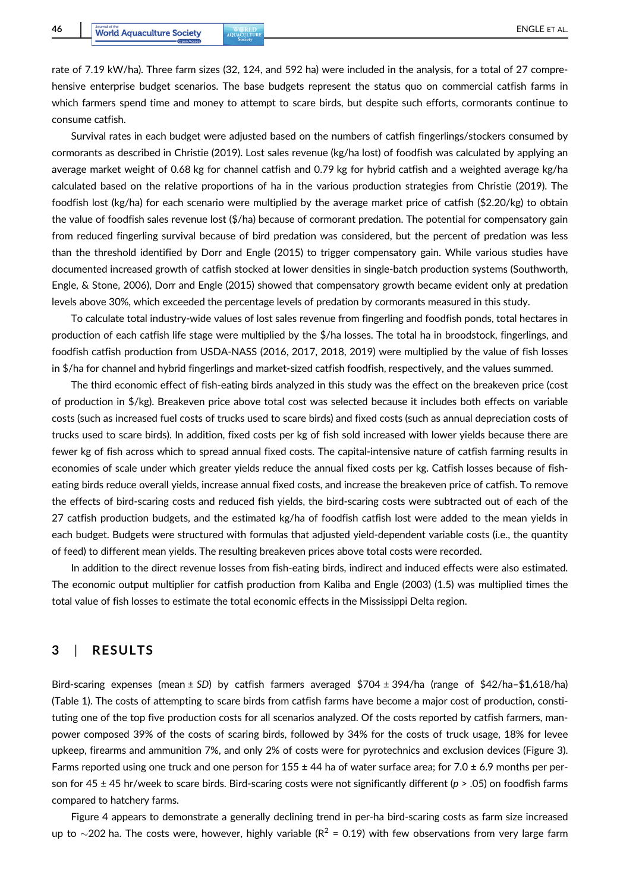rate of 7.19 kW/ha). Three farm sizes (32, 124, and 592 ha) were included in the analysis, for a total of 27 comprehensive enterprise budget scenarios. The base budgets represent the status quo on commercial catfish farms in which farmers spend time and money to attempt to scare birds, but despite such efforts, cormorants continue to consume catfish.

Survival rates in each budget were adjusted based on the numbers of catfish fingerlings/stockers consumed by cormorants as described in Christie (2019). Lost sales revenue (kg/ha lost) of foodfish was calculated by applying an average market weight of 0.68 kg for channel catfish and 0.79 kg for hybrid catfish and a weighted average kg/ha calculated based on the relative proportions of ha in the various production strategies from Christie (2019). The foodfish lost (kg/ha) for each scenario were multiplied by the average market price of catfish (\$2.20/kg) to obtain the value of foodfish sales revenue lost (\$/ha) because of cormorant predation. The potential for compensatory gain from reduced fingerling survival because of bird predation was considered, but the percent of predation was less than the threshold identified by Dorr and Engle (2015) to trigger compensatory gain. While various studies have documented increased growth of catfish stocked at lower densities in single-batch production systems (Southworth, Engle, & Stone, 2006), Dorr and Engle (2015) showed that compensatory growth became evident only at predation levels above 30%, which exceeded the percentage levels of predation by cormorants measured in this study.

To calculate total industry-wide values of lost sales revenue from fingerling and foodfish ponds, total hectares in production of each catfish life stage were multiplied by the \$/ha losses. The total ha in broodstock, fingerlings, and foodfish catfish production from USDA-NASS (2016, 2017, 2018, 2019) were multiplied by the value of fish losses in \$/ha for channel and hybrid fingerlings and market-sized catfish foodfish, respectively, and the values summed.

The third economic effect of fish-eating birds analyzed in this study was the effect on the breakeven price (cost of production in \$/kg). Breakeven price above total cost was selected because it includes both effects on variable costs (such as increased fuel costs of trucks used to scare birds) and fixed costs (such as annual depreciation costs of trucks used to scare birds). In addition, fixed costs per kg of fish sold increased with lower yields because there are fewer kg of fish across which to spread annual fixed costs. The capital-intensive nature of catfish farming results in economies of scale under which greater yields reduce the annual fixed costs per kg. Catfish losses because of fisheating birds reduce overall yields, increase annual fixed costs, and increase the breakeven price of catfish. To remove the effects of bird-scaring costs and reduced fish yields, the bird-scaring costs were subtracted out of each of the 27 catfish production budgets, and the estimated kg/ha of foodfish catfish lost were added to the mean yields in each budget. Budgets were structured with formulas that adjusted yield-dependent variable costs (i.e., the quantity of feed) to different mean yields. The resulting breakeven prices above total costs were recorded.

In addition to the direct revenue losses from fish-eating birds, indirect and induced effects were also estimated. The economic output multiplier for catfish production from Kaliba and Engle (2003) (1.5) was multiplied times the total value of fish losses to estimate the total economic effects in the Mississippi Delta region.

## 3 | RESULTS

Bird-scaring expenses (mean ± SD) by catfish farmers averaged \$704 ± 394/ha (range of \$42/ha–\$1,618/ha) (Table 1). The costs of attempting to scare birds from catfish farms have become a major cost of production, constituting one of the top five production costs for all scenarios analyzed. Of the costs reported by catfish farmers, manpower composed 39% of the costs of scaring birds, followed by 34% for the costs of truck usage, 18% for levee upkeep, firearms and ammunition 7%, and only 2% of costs were for pyrotechnics and exclusion devices (Figure 3). Farms reported using one truck and one person for 155  $\pm$  44 ha of water surface area; for 7.0  $\pm$  6.9 months per person for 45  $\pm$  45 hr/week to scare birds. Bird-scaring costs were not significantly different ( $p > .05$ ) on foodfish farms compared to hatchery farms.

Figure 4 appears to demonstrate a generally declining trend in per-ha bird-scaring costs as farm size increased up to  $\sim$ 202 ha. The costs were, however, highly variable ( $R^2$  = 0.19) with few observations from very large farm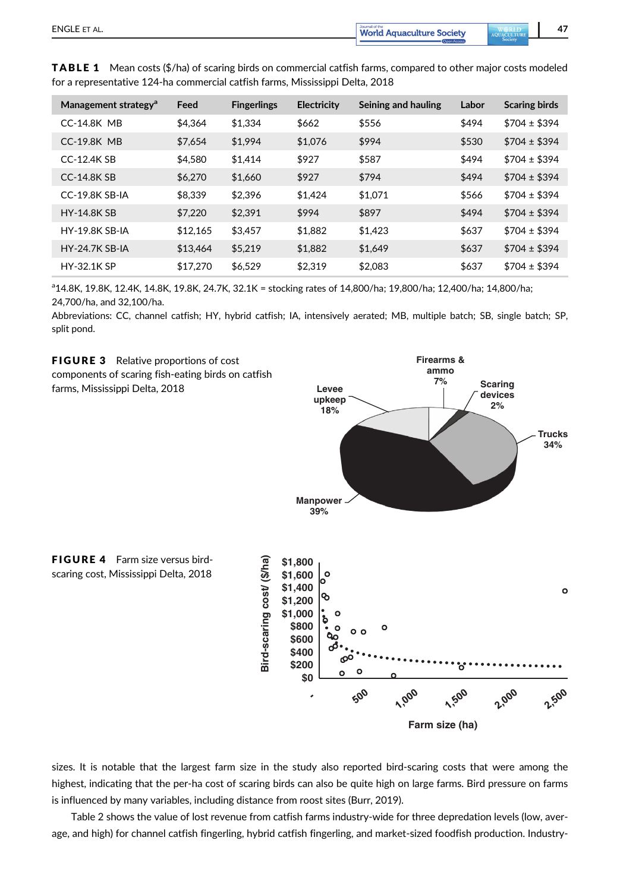| Management strategy <sup>a</sup> | Feed     | <b>Fingerlings</b> | Electricity | Seining and hauling | Labor | <b>Scaring birds</b> |
|----------------------------------|----------|--------------------|-------------|---------------------|-------|----------------------|
| <b>CC-14.8K MB</b>               | \$4.364  | \$1.334            | \$662       | \$556               | \$494 | $$704 \pm $394$      |
| <b>CC-19.8K MB</b>               | \$7,654  | \$1.994            | \$1,076     | \$994               | \$530 | $$704 \pm $394$      |
| $CC-12.4K$ SB                    | \$4.580  | \$1.414            | \$927       | \$587               | \$494 | $$704 \pm $394$      |
| <b>CC-14.8K SB</b>               | \$6,270  | \$1.660            | \$927       | \$794               | \$494 | $$704 \pm $394$      |
| CC-19.8K SB-IA                   | \$8.339  | \$2.396            | \$1.424     | \$1.071             | \$566 | $$704 \pm $394$      |
| <b>HY-14.8K SB</b>               | \$7,220  | \$2.391            | \$994       | \$897               | \$494 | $$704 \pm $394$      |
| <b>HY-19.8K SB-IA</b>            | \$12,165 | \$3.457            | \$1.882     | \$1.423             | \$637 | $$704 \pm $394$      |
| <b>HY-24.7K SB-IA</b>            | \$13,464 | \$5,219            | \$1,882     | \$1.649             | \$637 | $$704 \pm $394$      |
| <b>HY-32.1K SP</b>               | \$17,270 | \$6.529            | \$2.319     | \$2.083             | \$637 | $$704 \pm $394$      |

**TABLE 1** Mean costs (\$/ha) of scaring birds on commercial catfish farms, compared to other major costs modeled for a representative 124-ha commercial catfish farms, Mississippi Delta, 2018

a 14.8K, 19.8K, 12.4K, 14.8K, 19.8K, 24.7K, 32.1K = stocking rates of 14,800/ha; 19,800/ha; 12,400/ha; 14,800/ha; 24,700/ha, and 32,100/ha.

Abbreviations: CC, channel catfish; HY, hybrid catfish; IA, intensively aerated; MB, multiple batch; SB, single batch; SP, split pond.



sizes. It is notable that the largest farm size in the study also reported bird-scaring costs that were among the highest, indicating that the per-ha cost of scaring birds can also be quite high on large farms. Bird pressure on farms is influenced by many variables, including distance from roost sites (Burr, 2019).

**Farm size (ha)**

Table 2 shows the value of lost revenue from catfish farms industry-wide for three depredation levels (low, average, and high) for channel catfish fingerling, hybrid catfish fingerling, and market-sized foodfish production. Industry-

 $\circ$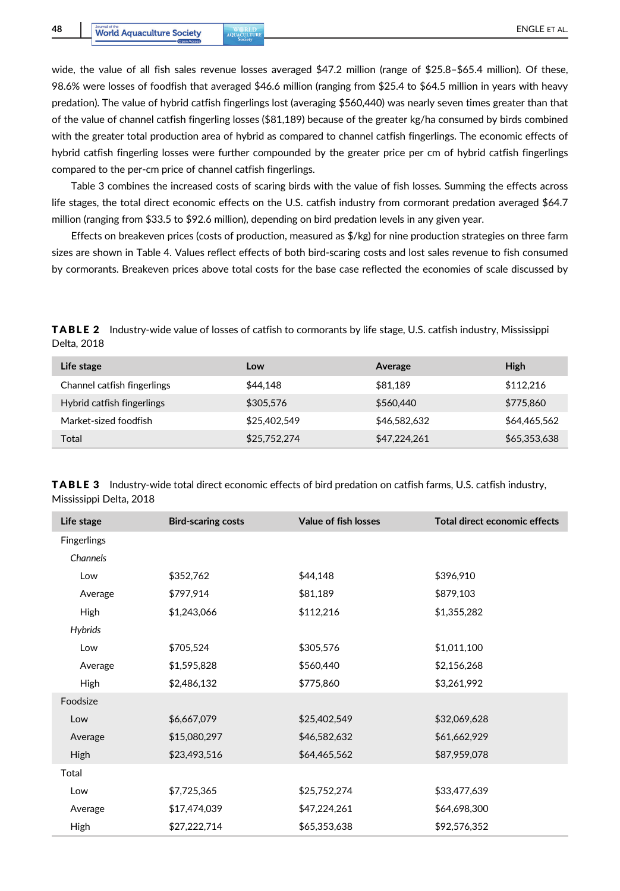wide, the value of all fish sales revenue losses averaged \$47.2 million (range of \$25.8–\$65.4 million). Of these, 98.6% were losses of foodfish that averaged \$46.6 million (ranging from \$25.4 to \$64.5 million in years with heavy predation). The value of hybrid catfish fingerlings lost (averaging \$560,440) was nearly seven times greater than that of the value of channel catfish fingerling losses (\$81,189) because of the greater kg/ha consumed by birds combined with the greater total production area of hybrid as compared to channel catfish fingerlings. The economic effects of hybrid catfish fingerling losses were further compounded by the greater price per cm of hybrid catfish fingerlings compared to the per-cm price of channel catfish fingerlings.

Table 3 combines the increased costs of scaring birds with the value of fish losses. Summing the effects across life stages, the total direct economic effects on the U.S. catfish industry from cormorant predation averaged \$64.7 million (ranging from \$33.5 to \$92.6 million), depending on bird predation levels in any given year.

Effects on breakeven prices (costs of production, measured as  $\frac{1}{2}$ /kg) for nine production strategies on three farm sizes are shown in Table 4. Values reflect effects of both bird-scaring costs and lost sales revenue to fish consumed by cormorants. Breakeven prices above total costs for the base case reflected the economies of scale discussed by

TABLE 2 Industry-wide value of losses of catfish to cormorants by life stage, U.S. catfish industry, Mississippi Delta, 2018

| Life stage                  | Low          | Average      | High         |
|-----------------------------|--------------|--------------|--------------|
| Channel catfish fingerlings | \$44,148     | \$81.189     | \$112,216    |
| Hybrid catfish fingerlings  | \$305.576    | \$560,440    | \$775,860    |
| Market-sized foodfish       | \$25,402,549 | \$46,582,632 | \$64,465,562 |
| Total                       | \$25,752,274 | \$47,224,261 | \$65,353,638 |

TABLE 3 Industry-wide total direct economic effects of bird predation on catfish farms, U.S. catfish industry, Mississippi Delta, 2018

| Life stage         | <b>Bird-scaring costs</b> | Value of fish losses | Total direct economic effects |
|--------------------|---------------------------|----------------------|-------------------------------|
| <b>Fingerlings</b> |                           |                      |                               |
| Channels           |                           |                      |                               |
| Low                | \$352,762                 | \$44,148             | \$396,910                     |
| Average            | \$797,914                 | \$81,189             | \$879,103                     |
| High               | \$1,243,066               | \$112,216            | \$1,355,282                   |
| <b>Hybrids</b>     |                           |                      |                               |
| Low                | \$705,524                 | \$305,576            | \$1,011,100                   |
| Average            | \$1,595,828               | \$560,440            | \$2,156,268                   |
| High               | \$2,486,132               | \$775,860            | \$3,261,992                   |
| Foodsize           |                           |                      |                               |
| Low                | \$6,667,079               | \$25,402,549         | \$32,069,628                  |
| Average            | \$15,080,297              | \$46,582,632         | \$61,662,929                  |
| High               | \$23,493,516              | \$64,465,562         | \$87,959,078                  |
| Total              |                           |                      |                               |
| Low                | \$7,725,365               | \$25,752,274         | \$33,477,639                  |
| Average            | \$17,474,039              | \$47,224,261         | \$64,698,300                  |
| High               | \$27,222,714              | \$65,353,638         | \$92,576,352                  |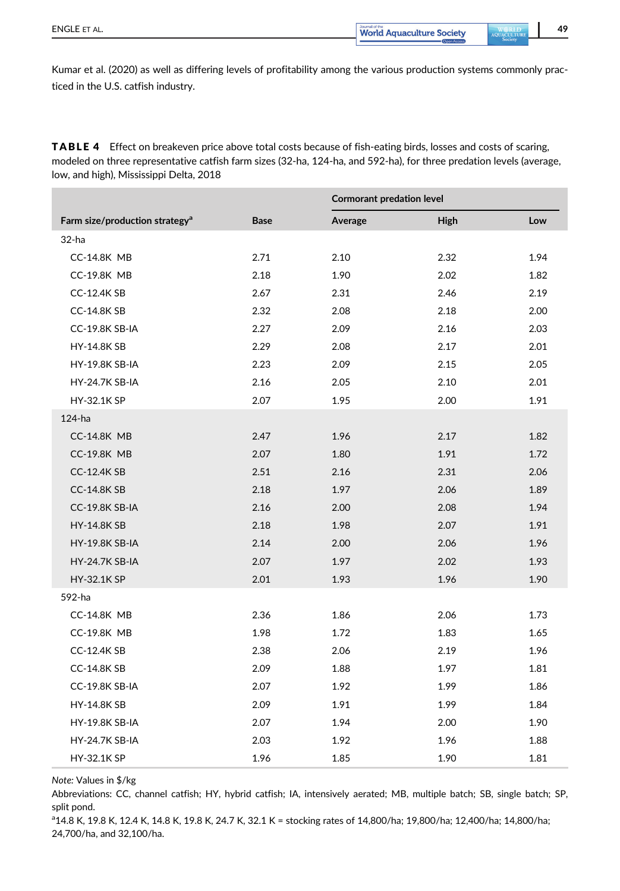Kumar et al. (2020) as well as differing levels of profitability among the various production systems commonly practiced in the U.S. catfish industry.

TABLE 4 Effect on breakeven price above total costs because of fish-eating birds, losses and costs of scaring, modeled on three representative catfish farm sizes (32-ha, 124-ha, and 592-ha), for three predation levels (average, low, and high), Mississippi Delta, 2018

|                                            |             | <b>Cormorant predation level</b> |      |      |
|--------------------------------------------|-------------|----------------------------------|------|------|
| Farm size/production strategy <sup>a</sup> | <b>Base</b> | Average                          | High | Low  |
| 32-ha                                      |             |                                  |      |      |
| <b>CC-14.8K MB</b>                         | 2.71        | 2.10                             | 2.32 | 1.94 |
| <b>CC-19.8K MB</b>                         | 2.18        | 1.90                             | 2.02 | 1.82 |
| <b>CC-12.4K SB</b>                         | 2.67        | 2.31                             | 2.46 | 2.19 |
| <b>CC-14.8K SB</b>                         | 2.32        | 2.08                             | 2.18 | 2.00 |
| CC-19.8K SB-IA                             | 2.27        | 2.09                             | 2.16 | 2.03 |
| <b>HY-14.8K SB</b>                         | 2.29        | 2.08                             | 2.17 | 2.01 |
| <b>HY-19.8K SB-IA</b>                      | 2.23        | 2.09                             | 2.15 | 2.05 |
| <b>HY-24.7K SB-IA</b>                      | 2.16        | 2.05                             | 2.10 | 2.01 |
| <b>HY-32.1K SP</b>                         | 2.07        | 1.95                             | 2.00 | 1.91 |
| 124-ha                                     |             |                                  |      |      |
| <b>CC-14.8K MB</b>                         | 2.47        | 1.96                             | 2.17 | 1.82 |
| <b>CC-19.8K MB</b>                         | 2.07        | 1.80                             | 1.91 | 1.72 |
| <b>CC-12.4K SB</b>                         | 2.51        | 2.16                             | 2.31 | 2.06 |
| <b>CC-14.8K SB</b>                         | 2.18        | 1.97                             | 2.06 | 1.89 |
| <b>CC-19.8K SB-IA</b>                      | 2.16        | 2.00                             | 2.08 | 1.94 |
| <b>HY-14.8K SB</b>                         | 2.18        | 1.98                             | 2.07 | 1.91 |
| <b>HY-19.8K SB-IA</b>                      | 2.14        | 2.00                             | 2.06 | 1.96 |
| <b>HY-24.7K SB-IA</b>                      | 2.07        | 1.97                             | 2.02 | 1.93 |
| HY-32.1K SP                                | 2.01        | 1.93                             | 1.96 | 1.90 |
| 592-ha                                     |             |                                  |      |      |
| <b>CC-14.8K MB</b>                         | 2.36        | 1.86                             | 2.06 | 1.73 |
| <b>CC-19.8K MB</b>                         | 1.98        | 1.72                             | 1.83 | 1.65 |
| <b>CC-12.4K SB</b>                         | 2.38        | 2.06                             | 2.19 | 1.96 |
| <b>CC-14.8K SB</b>                         | 2.09        | 1.88                             | 1.97 | 1.81 |
| CC-19.8K SB-IA                             | 2.07        | 1.92                             | 1.99 | 1.86 |
| <b>HY-14.8K SB</b>                         | 2.09        | 1.91                             | 1.99 | 1.84 |
| <b>HY-19.8K SB-IA</b>                      | 2.07        | 1.94                             | 2.00 | 1.90 |
| <b>HY-24.7K SB-IA</b>                      | 2.03        | 1.92                             | 1.96 | 1.88 |
| <b>HY-32.1K SP</b>                         | 1.96        | 1.85                             | 1.90 | 1.81 |

Note: Values in \$/kg

Abbreviations: CC, channel catfish; HY, hybrid catfish; IA, intensively aerated; MB, multiple batch; SB, single batch; SP, split pond.

a 14.8 K, 19.8 K, 12.4 K, 14.8 K, 19.8 K, 24.7 K, 32.1 K = stocking rates of 14,800/ha; 19,800/ha; 12,400/ha; 14,800/ha; 24,700/ha, and 32,100/ha.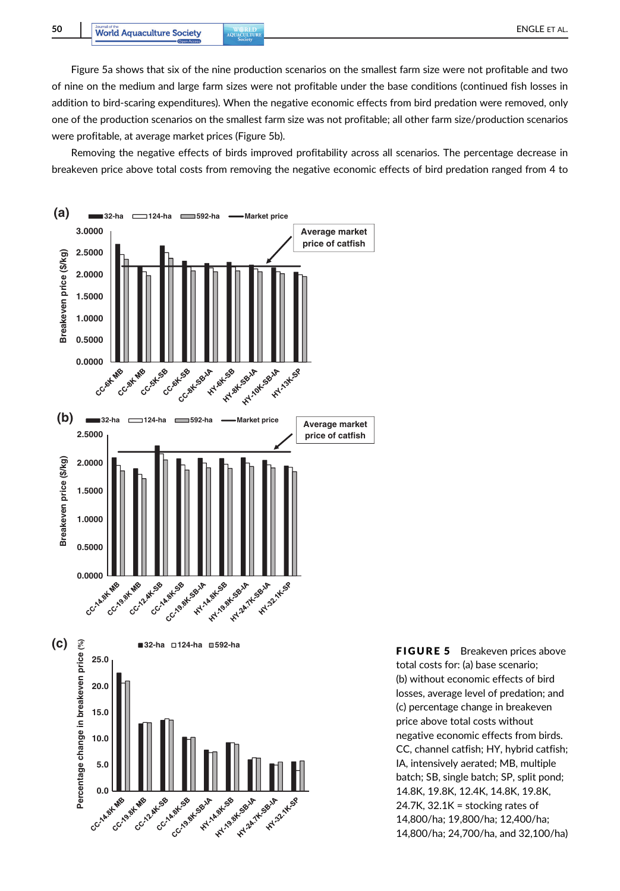Figure 5a shows that six of the nine production scenarios on the smallest farm size were not profitable and two of nine on the medium and large farm sizes were not profitable under the base conditions (continued fish losses in addition to bird-scaring expenditures). When the negative economic effects from bird predation were removed, only one of the production scenarios on the smallest farm size was not profitable; all other farm size/production scenarios were profitable, at average market prices (Figure 5b).

Removing the negative effects of birds improved profitability across all scenarios. The percentage decrease in breakeven price above total costs from removing the negative economic effects of bird predation ranged from 4 to



total costs for: (a) base scenario; (b) without economic effects of bird losses, average level of predation; and (c) percentage change in breakeven price above total costs without negative economic effects from birds. CC, channel catfish; HY, hybrid catfish; IA, intensively aerated; MB, multiple batch; SB, single batch; SP, split pond; 14.8K, 19.8K, 12.4K, 14.8K, 19.8K, 24.7K, 32.1K = stocking rates of 14,800/ha; 19,800/ha; 12,400/ha; 14,800/ha; 24,700/ha, and 32,100/ha)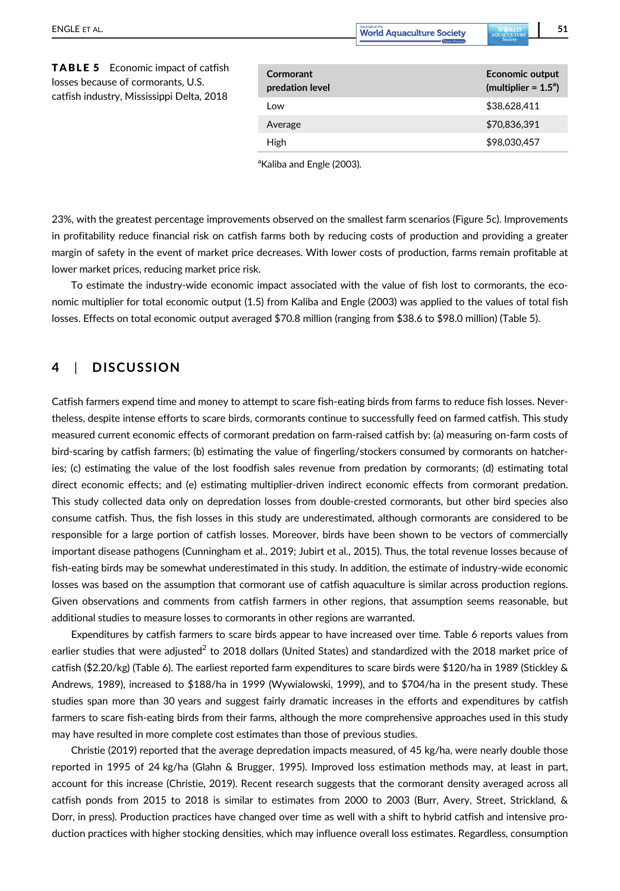ENGLE ET AL. **1980 and 2000 and 31 and 31 and 32 and 33 and 34 and 35 and 35 and 35 and 35 and 35 and 35 and 35 and 35 and 36 and 36 and 36 and 36 and 36 and 36 and 36 and 36 and 36 and 36 and 36 and 36 and 36 and 36 and 3** 

High \$98,030,457

| <b>TABLE 5</b> Economic impact of catfish<br>losses because of cormorants, U.S.<br>catfish industry, Mississippi Delta, 2018 | Cormorant<br>predation level | <b>Economic output</b><br>(multiplier = $1.5^{\circ}$ ) |
|------------------------------------------------------------------------------------------------------------------------------|------------------------------|---------------------------------------------------------|
|                                                                                                                              | Low                          | \$38.628.411                                            |
|                                                                                                                              | Average                      | \$70,836,391                                            |

<sup>a</sup>Kaliba and Engle (2003).

23%, with the greatest percentage improvements observed on the smallest farm scenarios (Figure 5c). Improvements in profitability reduce financial risk on catfish farms both by reducing costs of production and providing a greater margin of safety in the event of market price decreases. With lower costs of production, farms remain profitable at lower market prices, reducing market price risk.

To estimate the industry-wide economic impact associated with the value of fish lost to cormorants, the economic multiplier for total economic output (1.5) from Kaliba and Engle (2003) was applied to the values of total fish losses. Effects on total economic output averaged \$70.8 million (ranging from \$38.6 to \$98.0 million) (Table 5).

# 4 | DISCUSSION

Catfish farmers expend time and money to attempt to scare fish-eating birds from farms to reduce fish losses. Nevertheless, despite intense efforts to scare birds, cormorants continue to successfully feed on farmed catfish. This study measured current economic effects of cormorant predation on farm-raised catfish by: (a) measuring on-farm costs of bird-scaring by catfish farmers; (b) estimating the value of fingerling/stockers consumed by cormorants on hatcheries; (c) estimating the value of the lost foodfish sales revenue from predation by cormorants; (d) estimating total direct economic effects; and (e) estimating multiplier-driven indirect economic effects from cormorant predation. This study collected data only on depredation losses from double-crested cormorants, but other bird species also consume catfish. Thus, the fish losses in this study are underestimated, although cormorants are considered to be responsible for a large portion of catfish losses. Moreover, birds have been shown to be vectors of commercially important disease pathogens (Cunningham et al., 2019; Jubirt et al., 2015). Thus, the total revenue losses because of fish-eating birds may be somewhat underestimated in this study. In addition, the estimate of industry-wide economic losses was based on the assumption that cormorant use of catfish aquaculture is similar across production regions. Given observations and comments from catfish farmers in other regions, that assumption seems reasonable, but additional studies to measure losses to cormorants in other regions are warranted.

Expenditures by catfish farmers to scare birds appear to have increased over time. Table 6 reports values from earlier studies that were adjusted<sup>2</sup> to 2018 dollars (United States) and standardized with the 2018 market price of catfish (\$2.20/kg) (Table 6). The earliest reported farm expenditures to scare birds were \$120/ha in 1989 (Stickley & Andrews, 1989), increased to \$188/ha in 1999 (Wywialowski, 1999), and to \$704/ha in the present study. These studies span more than 30 years and suggest fairly dramatic increases in the efforts and expenditures by catfish farmers to scare fish-eating birds from their farms, although the more comprehensive approaches used in this study may have resulted in more complete cost estimates than those of previous studies.

Christie (2019) reported that the average depredation impacts measured, of 45 kg/ha, were nearly double those reported in 1995 of 24 kg/ha (Glahn & Brugger, 1995). Improved loss estimation methods may, at least in part, account for this increase (Christie, 2019). Recent research suggests that the cormorant density averaged across all catfish ponds from 2015 to 2018 is similar to estimates from 2000 to 2003 (Burr, Avery, Street, Strickland, & Dorr, in press). Production practices have changed over time as well with a shift to hybrid catfish and intensive production practices with higher stocking densities, which may influence overall loss estimates. Regardless, consumption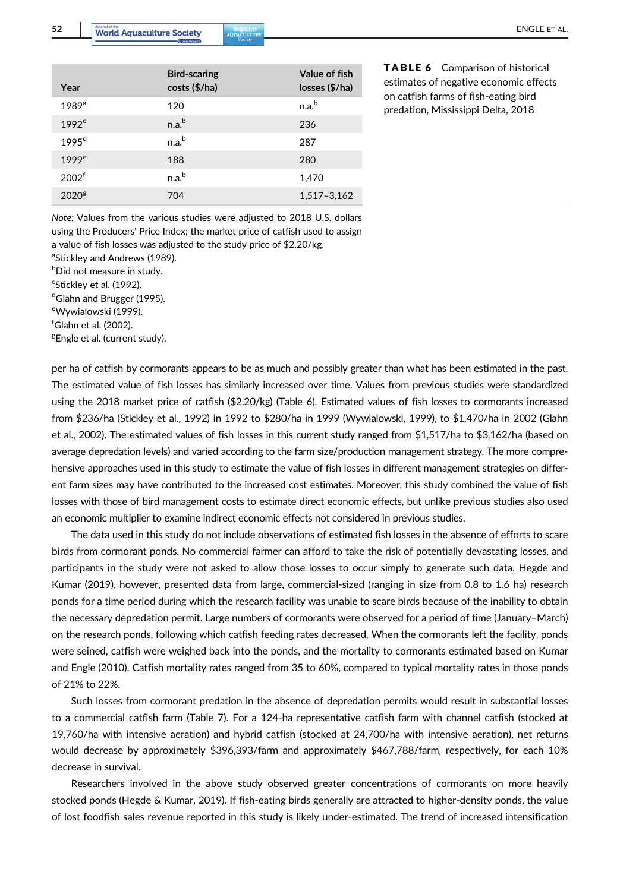| Year                | <b>Bird-scaring</b><br>costs (\$/ha) | Value of fish<br>losses (\$/ha) |
|---------------------|--------------------------------------|---------------------------------|
| $1989$ <sup>a</sup> | 120                                  | n.a. <sup>b</sup>               |
| 1992 <sup>c</sup>   | n.a <sup>b</sup>                     | 236                             |
| 1995 <sup>d</sup>   | n.a <sup>b</sup>                     | 287                             |
| 1999 <sup>e</sup>   | 188                                  | 280                             |
| 2002 <sup>f</sup>   | n.a <sup>b</sup>                     | 1,470                           |
| 2020 <sup>g</sup>   | 704                                  | 1,517-3,162                     |

TABLE 6 Comparison of historical estimates of negative economic effects on catfish farms of fish-eating bird predation, Mississippi Delta, 2018

Note: Values from the various studies were adjusted to 2018 U.S. dollars using the Producers' Price Index; the market price of catfish used to assign a value of fish losses was adjusted to the study price of \$2.20/kg.

<sup>a</sup>Stickley and Andrews (1989).

<sup>b</sup>Did not measure in study.

<sup>c</sup>Stickley et al. (1992).

<sup>d</sup>Glahn and Brugger (1995). <sup>e</sup>Wywialowski (1999).

f Glahn et al. (2002).

<sup>g</sup>Engle et al. (current study).

per ha of catfish by cormorants appears to be as much and possibly greater than what has been estimated in the past. The estimated value of fish losses has similarly increased over time. Values from previous studies were standardized using the 2018 market price of catfish (\$2.20/kg) (Table 6). Estimated values of fish losses to cormorants increased from \$236/ha (Stickley et al., 1992) in 1992 to \$280/ha in 1999 (Wywialowski, 1999), to \$1,470/ha in 2002 (Glahn et al., 2002). The estimated values of fish losses in this current study ranged from \$1,517/ha to \$3,162/ha (based on average depredation levels) and varied according to the farm size/production management strategy. The more comprehensive approaches used in this study to estimate the value of fish losses in different management strategies on different farm sizes may have contributed to the increased cost estimates. Moreover, this study combined the value of fish losses with those of bird management costs to estimate direct economic effects, but unlike previous studies also used an economic multiplier to examine indirect economic effects not considered in previous studies.

The data used in this study do not include observations of estimated fish losses in the absence of efforts to scare birds from cormorant ponds. No commercial farmer can afford to take the risk of potentially devastating losses, and participants in the study were not asked to allow those losses to occur simply to generate such data. Hegde and Kumar (2019), however, presented data from large, commercial-sized (ranging in size from 0.8 to 1.6 ha) research ponds for a time period during which the research facility was unable to scare birds because of the inability to obtain the necessary depredation permit. Large numbers of cormorants were observed for a period of time (January–March) on the research ponds, following which catfish feeding rates decreased. When the cormorants left the facility, ponds were seined, catfish were weighed back into the ponds, and the mortality to cormorants estimated based on Kumar and Engle (2010). Catfish mortality rates ranged from 35 to 60%, compared to typical mortality rates in those ponds of 21% to 22%.

Such losses from cormorant predation in the absence of depredation permits would result in substantial losses to a commercial catfish farm (Table 7). For a 124-ha representative catfish farm with channel catfish (stocked at 19,760/ha with intensive aeration) and hybrid catfish (stocked at 24,700/ha with intensive aeration), net returns would decrease by approximately \$396,393/farm and approximately \$467,788/farm, respectively, for each 10% decrease in survival.

Researchers involved in the above study observed greater concentrations of cormorants on more heavily stocked ponds (Hegde & Kumar, 2019). If fish-eating birds generally are attracted to higher-density ponds, the value of lost foodfish sales revenue reported in this study is likely under-estimated. The trend of increased intensification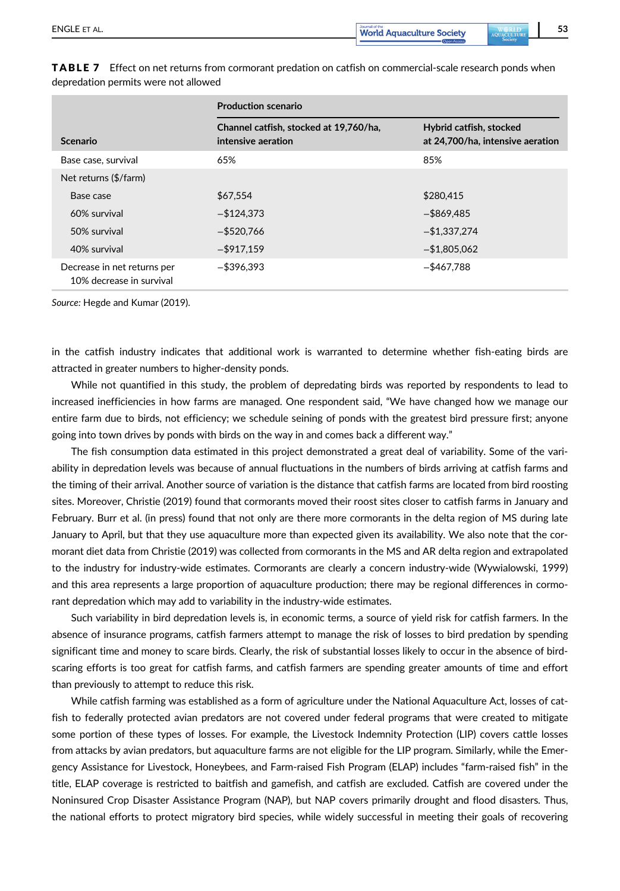|                                                         | <b>Production scenario</b>                                   |                                                             |  |  |
|---------------------------------------------------------|--------------------------------------------------------------|-------------------------------------------------------------|--|--|
| Scenario                                                | Channel catfish, stocked at 19,760/ha,<br>intensive aeration | Hybrid catfish, stocked<br>at 24,700/ha, intensive aeration |  |  |
| Base case, survival                                     | 65%                                                          | 85%                                                         |  |  |
| Net returns (\$/farm)                                   |                                                              |                                                             |  |  |
| Base case                                               | \$67,554                                                     | \$280,415                                                   |  |  |
| 60% survival                                            | $-$ \$124.373                                                | $-$ \$869,485                                               |  |  |
| 50% survival                                            | $-$ \$520.766                                                | $-$1,337,274$                                               |  |  |
| 40% survival                                            | $-$ \$917,159                                                | $-$ \$1,805,062                                             |  |  |
| Decrease in net returns per<br>10% decrease in survival | $-$ \$396.393                                                | $-$ \$467.788                                               |  |  |

**TABLE 7** Effect on net returns from cormorant predation on catfish on commercial-scale research ponds when depredation permits were not allowed

Source: Hegde and Kumar (2019).

in the catfish industry indicates that additional work is warranted to determine whether fish-eating birds are attracted in greater numbers to higher-density ponds.

While not quantified in this study, the problem of depredating birds was reported by respondents to lead to increased inefficiencies in how farms are managed. One respondent said, "We have changed how we manage our entire farm due to birds, not efficiency; we schedule seining of ponds with the greatest bird pressure first; anyone going into town drives by ponds with birds on the way in and comes back a different way."

The fish consumption data estimated in this project demonstrated a great deal of variability. Some of the variability in depredation levels was because of annual fluctuations in the numbers of birds arriving at catfish farms and the timing of their arrival. Another source of variation is the distance that catfish farms are located from bird roosting sites. Moreover, Christie (2019) found that cormorants moved their roost sites closer to catfish farms in January and February. Burr et al. (in press) found that not only are there more cormorants in the delta region of MS during late January to April, but that they use aquaculture more than expected given its availability. We also note that the cormorant diet data from Christie (2019) was collected from cormorants in the MS and AR delta region and extrapolated to the industry for industry-wide estimates. Cormorants are clearly a concern industry-wide (Wywialowski, 1999) and this area represents a large proportion of aquaculture production; there may be regional differences in cormorant depredation which may add to variability in the industry-wide estimates.

Such variability in bird depredation levels is, in economic terms, a source of yield risk for catfish farmers. In the absence of insurance programs, catfish farmers attempt to manage the risk of losses to bird predation by spending significant time and money to scare birds. Clearly, the risk of substantial losses likely to occur in the absence of birdscaring efforts is too great for catfish farms, and catfish farmers are spending greater amounts of time and effort than previously to attempt to reduce this risk.

While catfish farming was established as a form of agriculture under the National Aquaculture Act, losses of catfish to federally protected avian predators are not covered under federal programs that were created to mitigate some portion of these types of losses. For example, the Livestock Indemnity Protection (LIP) covers cattle losses from attacks by avian predators, but aquaculture farms are not eligible for the LIP program. Similarly, while the Emergency Assistance for Livestock, Honeybees, and Farm-raised Fish Program (ELAP) includes "farm-raised fish" in the title, ELAP coverage is restricted to baitfish and gamefish, and catfish are excluded. Catfish are covered under the Noninsured Crop Disaster Assistance Program (NAP), but NAP covers primarily drought and flood disasters. Thus, the national efforts to protect migratory bird species, while widely successful in meeting their goals of recovering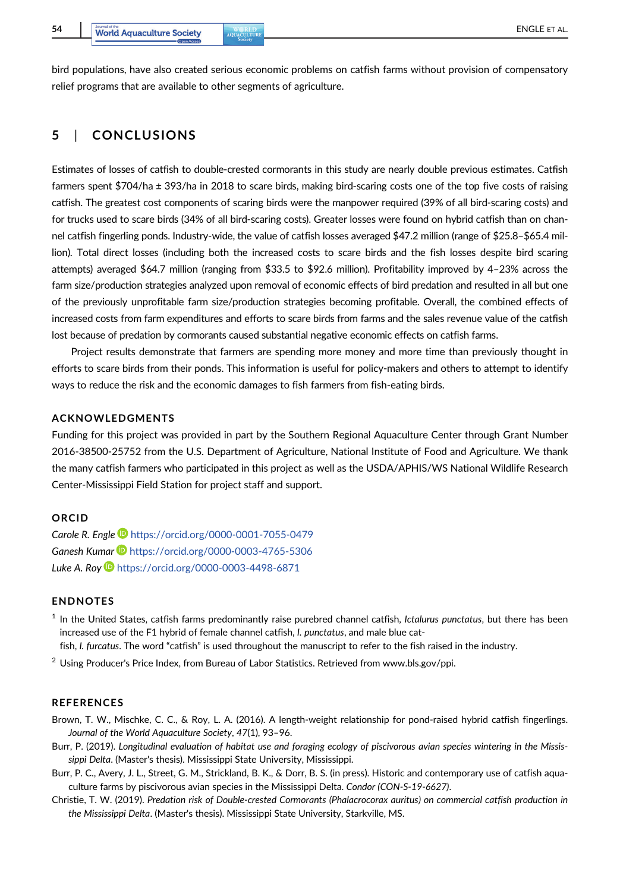bird populations, have also created serious economic problems on catfish farms without provision of compensatory relief programs that are available to other segments of agriculture.

# 5 | CONCLUSIONS

Estimates of losses of catfish to double-crested cormorants in this study are nearly double previous estimates. Catfish farmers spent \$704/ha ± 393/ha in 2018 to scare birds, making bird-scaring costs one of the top five costs of raising catfish. The greatest cost components of scaring birds were the manpower required (39% of all bird-scaring costs) and for trucks used to scare birds (34% of all bird-scaring costs). Greater losses were found on hybrid catfish than on channel catfish fingerling ponds. Industry-wide, the value of catfish losses averaged \$47.2 million (range of \$25.8–\$65.4 million). Total direct losses (including both the increased costs to scare birds and the fish losses despite bird scaring attempts) averaged \$64.7 million (ranging from \$33.5 to \$92.6 million). Profitability improved by 4–23% across the farm size/production strategies analyzed upon removal of economic effects of bird predation and resulted in all but one of the previously unprofitable farm size/production strategies becoming profitable. Overall, the combined effects of increased costs from farm expenditures and efforts to scare birds from farms and the sales revenue value of the catfish lost because of predation by cormorants caused substantial negative economic effects on catfish farms.

Project results demonstrate that farmers are spending more money and more time than previously thought in efforts to scare birds from their ponds. This information is useful for policy-makers and others to attempt to identify ways to reduce the risk and the economic damages to fish farmers from fish-eating birds.

#### ACKNOWLEDGMENTS

Funding for this project was provided in part by the Southern Regional Aquaculture Center through Grant Number 2016-38500-25752 from the U.S. Department of Agriculture, National Institute of Food and Agriculture. We thank the many catfish farmers who participated in this project as well as the USDA/APHIS/WS National Wildlife Research Center-Mississippi Field Station for project staff and support.

### ORCID

Carole R. Engle <https://orcid.org/0000-0001-7055-0479> Ganesh Kumar **b** <https://orcid.org/0000-0003-4765-5306> Luke A. Roy **b** <https://orcid.org/0000-0003-4498-6871>

#### **ENDNOTES**

- $<sup>1</sup>$  In the United States, catfish farms predominantly raise purebred channel catfish, Ictalurus punctatus, but there has been</sup> increased use of the F1 hybrid of female channel catfish, I. punctatus, and male blue cat-
- fish, I. furcatus. The word "catfish" is used throughout the manuscript to refer to the fish raised in the industry.
- <sup>2</sup> Using Producer's Price Index, from Bureau of Labor Statistics. Retrieved from [www.bls.gov/ppi.](http://www.bls.gov/ppi)

#### **REFERENCES**

- Brown, T. W., Mischke, C. C., & Roy, L. A. (2016). A length-weight relationship for pond-raised hybrid catfish fingerlings. Journal of the World Aquaculture Society, 47(1), 93–96.
- Burr, P. (2019). Longitudinal evaluation of habitat use and foraging ecology of piscivorous avian species wintering in the Mississippi Delta. (Master's thesis). Mississippi State University, Mississippi.
- Burr, P. C., Avery, J. L., Street, G. M., Strickland, B. K., & Dorr, B. S. (in press). Historic and contemporary use of catfish aquaculture farms by piscivorous avian species in the Mississippi Delta. Condor (CON-S-19-6627).
- Christie, T. W. (2019). Predation risk of Double-crested Cormorants (Phalacrocorax auritus) on commercial catfish production in the Mississippi Delta. (Master's thesis). Mississippi State University, Starkville, MS.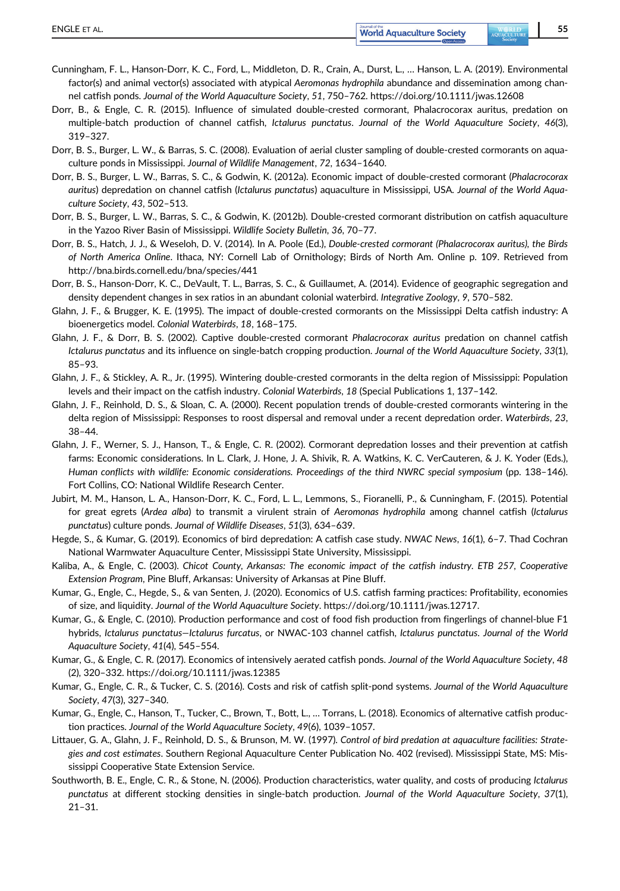- Cunningham, F. L., Hanson-Dorr, K. C., Ford, L., Middleton, D. R., Crain, A., Durst, L., … Hanson, L. A. (2019). Environmental factor(s) and animal vector(s) associated with atypical Aeromonas hydrophila abundance and dissemination among channel catfish ponds. Journal of the World Aquaculture Society, 51, 750–762.<https://doi.org/10.1111/jwas.12608>
- Dorr, B., & Engle, C. R. (2015). Influence of simulated double-crested cormorant, Phalacrocorax auritus, predation on multiple-batch production of channel catfish, Ictalurus punctatus. Journal of the World Aquaculture Society, 46(3), 319–327.
- Dorr, B. S., Burger, L. W., & Barras, S. C. (2008). Evaluation of aerial cluster sampling of double-crested cormorants on aquaculture ponds in Mississippi. Journal of Wildlife Management, 72, 1634–1640.
- Dorr, B. S., Burger, L. W., Barras, S. C., & Godwin, K. (2012a). Economic impact of double-crested cormorant (Phalacrocorax auritus) depredation on channel catfish (Ictalurus punctatus) aquaculture in Mississippi, USA. Journal of the World Aquaculture Society, 43, 502–513.
- Dorr, B. S., Burger, L. W., Barras, S. C., & Godwin, K. (2012b). Double-crested cormorant distribution on catfish aquaculture in the Yazoo River Basin of Mississippi. Wildlife Society Bulletin, 36, 70–77.
- Dorr, B. S., Hatch, J. J., & Weseloh, D. V. (2014). In A. Poole (Ed.), Double-crested cormorant (Phalacrocorax auritus), the Birds of North America Online. Ithaca, NY: Cornell Lab of Ornithology; Birds of North Am. Online p. 109. Retrieved from <http://bna.birds.cornell.edu/bna/species/441>
- Dorr, B. S., Hanson-Dorr, K. C., DeVault, T. L., Barras, S. C., & Guillaumet, A. (2014). Evidence of geographic segregation and density dependent changes in sex ratios in an abundant colonial waterbird. Integrative Zoology, 9, 570–582.
- Glahn, J. F., & Brugger, K. E. (1995). The impact of double-crested cormorants on the Mississippi Delta catfish industry: A bioenergetics model. Colonial Waterbirds, 18, 168–175.
- Glahn, J. F., & Dorr, B. S. (2002). Captive double-crested cormorant Phalacrocorax auritus predation on channel catfish Ictalurus punctatus and its influence on single-batch cropping production. Journal of the World Aquaculture Society, 33(1), 85–93.
- Glahn, J. F., & Stickley, A. R., Jr. (1995). Wintering double-crested cormorants in the delta region of Mississippi: Population levels and their impact on the catfish industry. Colonial Waterbirds, 18 (Special Publications 1, 137–142.
- Glahn, J. F., Reinhold, D. S., & Sloan, C. A. (2000). Recent population trends of double-crested cormorants wintering in the delta region of Mississippi: Responses to roost dispersal and removal under a recent depredation order. Waterbirds, 23, 38–44.
- Glahn, J. F., Werner, S. J., Hanson, T., & Engle, C. R. (2002). Cormorant depredation losses and their prevention at catfish farms: Economic considerations. In L. Clark, J. Hone, J. A. Shivik, R. A. Watkins, K. C. VerCauteren, & J. K. Yoder (Eds.), Human conflicts with wildlife: Economic considerations. Proceedings of the third NWRC special symposium (pp. 138–146). Fort Collins, CO: National Wildlife Research Center.
- Jubirt, M. M., Hanson, L. A., Hanson-Dorr, K. C., Ford, L. L., Lemmons, S., Fioranelli, P., & Cunningham, F. (2015). Potential for great egrets (Ardea alba) to transmit a virulent strain of Aeromonas hydrophila among channel catfish (Ictalurus punctatus) culture ponds. Journal of Wildlife Diseases, 51(3), 634–639.
- Hegde, S., & Kumar, G. (2019). Economics of bird depredation: A catfish case study. NWAC News, 16(1), 6–7. Thad Cochran National Warmwater Aquaculture Center, Mississippi State University, Mississippi.
- Kaliba, A., & Engle, C. (2003). Chicot County, Arkansas: The economic impact of the catfish industry. ETB 257, Cooperative Extension Program, Pine Bluff, Arkansas: University of Arkansas at Pine Bluff.
- Kumar, G., Engle, C., Hegde, S., & van Senten, J. (2020). Economics of U.S. catfish farming practices: Profitability, economies of size, and liquidity. Journal of the World Aquaculture Society.<https://doi.org/10.1111/jwas.12717>.
- Kumar, G., & Engle, C. (2010). Production performance and cost of food fish production from fingerlings of channel-blue F1 hybrids, Ictalurus punctatus—Ictalurus furcatus, or NWAC-103 channel catfish, Ictalurus punctatus. Journal of the World Aquaculture Society, 41(4), 545–554.
- Kumar, G., & Engle, C. R. (2017). Economics of intensively aerated catfish ponds. Journal of the World Aquaculture Society, 48 (2), 320–332.<https://doi.org/10.1111/jwas.12385>
- Kumar, G., Engle, C. R., & Tucker, C. S. (2016). Costs and risk of catfish split-pond systems. Journal of the World Aquaculture Society, 47(3), 327–340.
- Kumar, G., Engle, C., Hanson, T., Tucker, C., Brown, T., Bott, L., … Torrans, L. (2018). Economics of alternative catfish production practices. Journal of the World Aquaculture Society, 49(6), 1039–1057.
- Littauer, G. A., Glahn, J. F., Reinhold, D. S., & Brunson, M. W. (1997). Control of bird predation at aquaculture facilities: Strategies and cost estimates. Southern Regional Aquaculture Center Publication No. 402 (revised). Mississippi State, MS: Mississippi Cooperative State Extension Service.
- Southworth, B. E., Engle, C. R., & Stone, N. (2006). Production characteristics, water quality, and costs of producing Ictalurus punctatus at different stocking densities in single-batch production. Journal of the World Aquaculture Society, 37(1), 21–31.